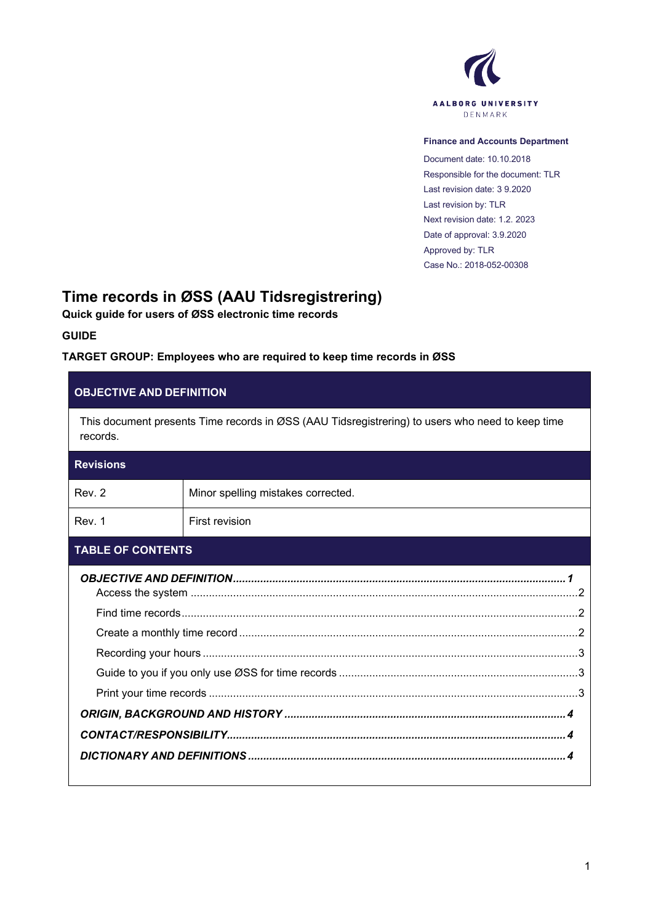

#### **Finance and Accounts Department**

Document date: 10.10.2018 Responsible for the document: TLR Last revision date: 3 9.2020 Last revision by: TLR Next revision date: 1.2. 2023 Date of approval: 3.9.2020 Approved by: TLR Case No.: 2018-052-00308

# **Time records in ØSS (AAU Tidsregistrering)**

**Quick guide for users of ØSS electronic time records**

**GUIDE**

### **TARGET GROUP: Employees who are required to keep time records in ØSS**

### <span id="page-0-0"></span>**OBJECTIVE AND DEFINITION**

This document presents Time records in ØSS (AAU Tidsregistrering) to users who need to keep time records.

## **Revisions**

| Rev. 2 | Minor spelling mistakes corrected. |
|--------|------------------------------------|
| Rev. 1 | First revision                     |

#### **TABLE OF CONTENTS**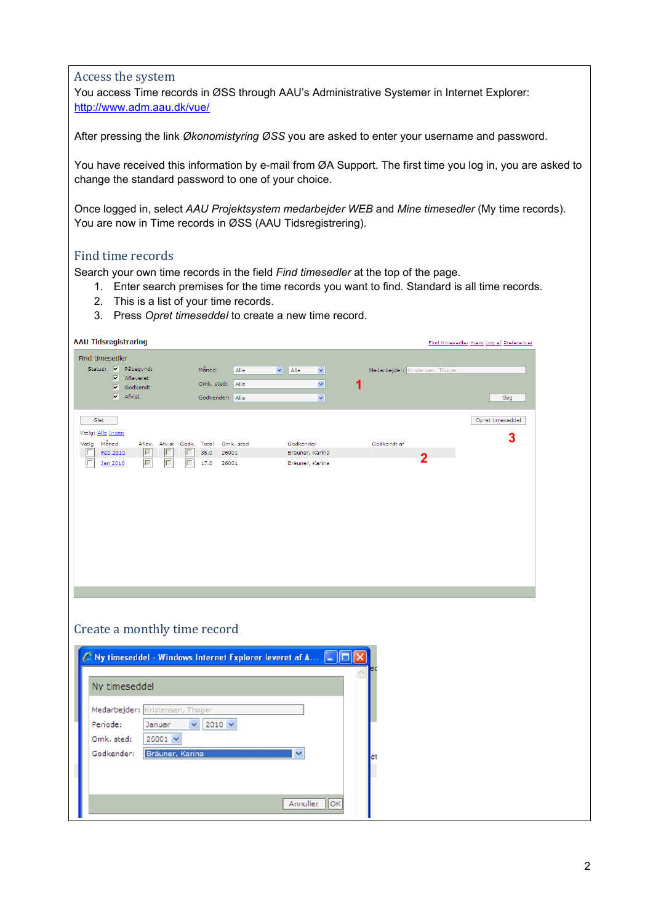#### <span id="page-1-0"></span>Access the system

You access Time records in ØSS through AAU's Administrative Systemer in Internet Explorer: <http://www.adm.aau.dk/vue/>

After pressing the link *Økonomistyring ØSS* you are asked to enter your username and password.

You have received this information by e-mail from ØA Support. The first time you log in, you are asked to change the standard password to one of your choice.

Once logged in, select *AAU Projektsystem medarbejder WEB* and *Mine timesedler* (My time records). You are now in Time records in ØSS (AAU Tidsregistrering).

### <span id="page-1-1"></span>Find time records

Search your own time records in the field *Find timesedler* at the top of the page.

- 1. Enter search premises for the time records you want to find. Standard is all time records.
- 2. This is a list of your time records.
- 3. Press *Opret timeseddel* to create a new time record.

| <b>AAU Tidsregistrering</b>                                                                                                                                      |                                                                                                                                |                                      | Find timesedler Hiem Log af Preferencer |
|------------------------------------------------------------------------------------------------------------------------------------------------------------------|--------------------------------------------------------------------------------------------------------------------------------|--------------------------------------|-----------------------------------------|
| Find timesedler<br>Status: V Påbegyndt<br>$\nabla$ Afleveret<br>$\overline{\mathsf{v}}$ Godkendt<br>$\overline{\mathsf{v}}$ Afvist                               | Måned:<br>$\vee$ Alle<br>Alle<br>$\blacktriangledown$<br>Omk. sted:<br>Alle<br>$\checkmark$<br>Godkender: Alle<br>$\checkmark$ | Medarbejder: Kristensen, Thøger<br>1 | Søg                                     |
| Slet<br>Vælg: Alle Ingen<br>Måned<br>Vælg<br>Aflev. Afvist Godk. Total<br>$\overline{\triangledown}$<br>Г<br>⊩<br>Feb 2010<br>$\overline{\vee}$<br>Г<br>Jan 2010 | Omk. sted<br>Godkender<br>35.0<br>26001<br>Bräuner, Karina<br>17.0<br>26001<br>Bräuner, Karina                                 | Godkendt af<br>$\overline{2}$        | Opret timeseddel<br>3                   |
| Create a monthly time record<br>Ny timeseddel<br>Medarbejder: Kristensen, Thøger<br>Periode:<br>$\checkmark$<br>Januar<br>Omk. sted:<br>$26001$ $\vee$           | $\mathcal C$ Ny timeseddel - Windows Internet Explorer leveret af A $\lceil \square \rceil$<br>$2010 \times$                   |                                      |                                         |

<span id="page-1-2"></span>Annuller OK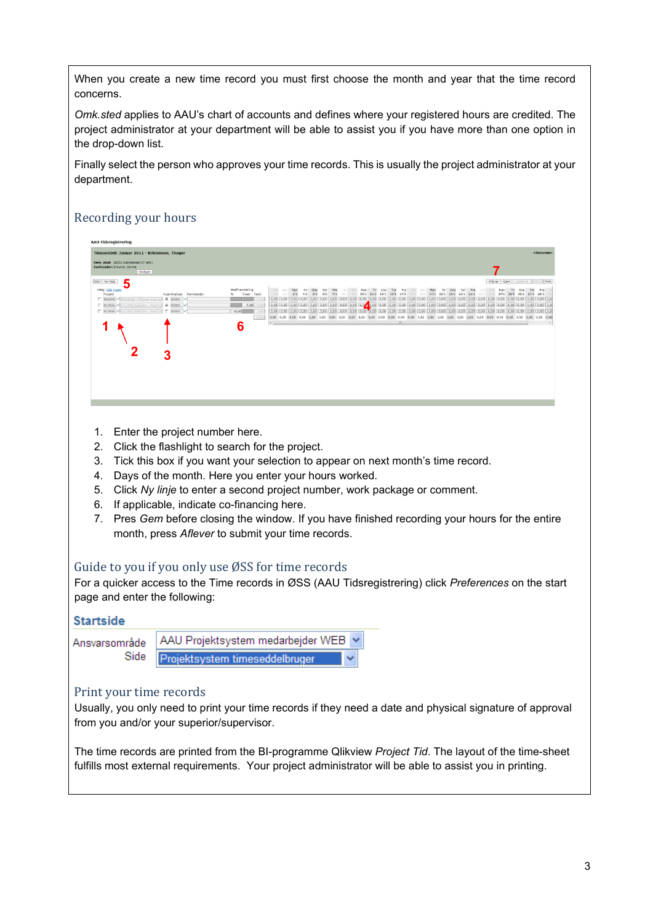When you create a new time record you must first choose the month and year that the time record concerns.

*Omk.sted* applies to AAU's chart of accounts and defines where your registered hours are credited. The project administrator at your department will be able to assist you if you have more than one option in the drop-down list.

Finally select the person who approves your time records. This is usually the project administrator at your department.

## <span id="page-2-0"></span>Recording your hours



- 1. Enter the project number here.
- 2. Click the flashlight to search for the project.
- 3. Tick this box if you want your selection to appear on next month's time record.
- 4. Days of the month. Here you enter your hours worked.
- 5. Click *Ny linje* to enter a second project number, work package or comment.
- 6. If applicable, indicate co-financing here.
- 7. Pres *Gem* before closing the window. If you have finished recording your hours for the entire month, press *Aflever* to submit your time records.

### <span id="page-2-1"></span>Guide to you if you only use ØSS for time records

For a quicker access to the Time records in ØSS (AAU Tidsregistrering) click *Preferences* on the start page and enter the following:

#### **Startside**



### <span id="page-2-2"></span>Print your time records

Usually, you only need to print your time records if they need a date and physical signature of approval from you and/or your superior/supervisor.

<span id="page-2-3"></span>The time records are printed from the BI-programme Qlikview *Project Tid*. The layout of the time-sheet fulfills most external requirements. Your project administrator will be able to assist you in printing.